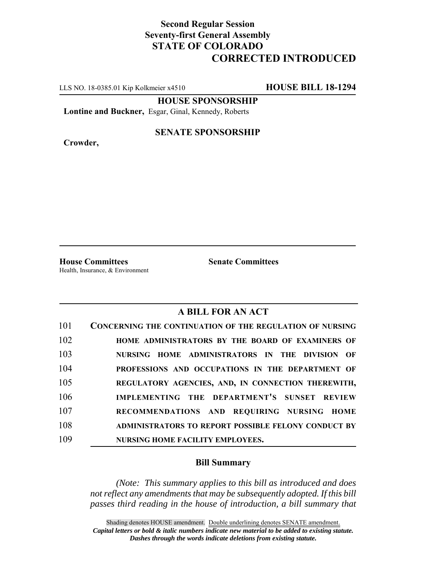## **Second Regular Session Seventy-first General Assembly STATE OF COLORADO CORRECTED INTRODUCED**

LLS NO. 18-0385.01 Kip Kolkmeier x4510 **HOUSE BILL 18-1294**

**HOUSE SPONSORSHIP**

**Lontine and Buckner,** Esgar, Ginal, Kennedy, Roberts

**Crowder,**

## **SENATE SPONSORSHIP**

**House Committees Senate Committees** Health, Insurance, & Environment

## **A BILL FOR AN ACT**

| 101 | <b>CONCERNING THE CONTINUATION OF THE REGULATION OF NURSING</b> |
|-----|-----------------------------------------------------------------|
| 102 | HOME ADMINISTRATORS BY THE BOARD OF EXAMINERS OF                |
| 103 | NURSING HOME ADMINISTRATORS IN THE DIVISION OF                  |
| 104 | PROFESSIONS AND OCCUPATIONS IN THE DEPARTMENT OF                |
| 105 | REGULATORY AGENCIES, AND, IN CONNECTION THEREWITH,              |
| 106 | IMPLEMENTING THE DEPARTMENT'S SUNSET REVIEW                     |
| 107 | RECOMMENDATIONS AND REQUIRING NURSING HOME                      |
| 108 | <b>ADMINISTRATORS TO REPORT POSSIBLE FELONY CONDUCT BY</b>      |
| 109 | NURSING HOME FACILITY EMPLOYEES.                                |

## **Bill Summary**

*(Note: This summary applies to this bill as introduced and does not reflect any amendments that may be subsequently adopted. If this bill passes third reading in the house of introduction, a bill summary that*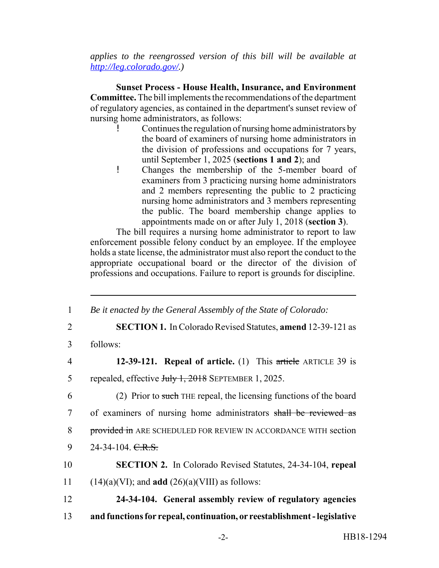*applies to the reengrossed version of this bill will be available at http://leg.colorado.gov/.)*

**Sunset Process - House Health, Insurance, and Environment Committee.** The bill implements the recommendations of the department of regulatory agencies, as contained in the department's sunset review of nursing home administrators, as follows:

- ! Continues the regulation of nursing home administrators by the board of examiners of nursing home administrators in the division of professions and occupations for 7 years, until September 1, 2025 (**sections 1 and 2**); and
- ! Changes the membership of the 5-member board of examiners from 3 practicing nursing home administrators and 2 members representing the public to 2 practicing nursing home administrators and 3 members representing the public. The board membership change applies to appointments made on or after July 1, 2018 (**section 3**).

The bill requires a nursing home administrator to report to law enforcement possible felony conduct by an employee. If the employee holds a state license, the administrator must also report the conduct to the appropriate occupational board or the director of the division of professions and occupations. Failure to report is grounds for discipline.

| $\mathbf{1}$   | Be it enacted by the General Assembly of the State of Colorado:           |
|----------------|---------------------------------------------------------------------------|
| 2              | <b>SECTION 1.</b> In Colorado Revised Statutes, <b>amend</b> 12-39-121 as |
| 3              | follows:                                                                  |
| $\overline{4}$ | 12-39-121. Repeal of article. (1) This article ARTICLE 39 is              |
| 5              | repealed, effective July 1, 2018 SEPTEMBER 1, 2025.                       |
| 6              | (2) Prior to such THE repeal, the licensing functions of the board        |
| $\tau$         | of examiners of nursing home administrators shall be reviewed as          |
| 8              | provided in ARE SCHEDULED FOR REVIEW IN ACCORDANCE WITH section           |
| 9              | 24-34-104. C.R.S.                                                         |
| 10             | <b>SECTION 2.</b> In Colorado Revised Statutes, 24-34-104, repeal         |
| 11             | $(14)(a)(VI)$ ; and <b>add</b> $(26)(a)(VIII)$ as follows:                |
| 12             | 24-34-104. General assembly review of regulatory agencies                 |
| 13             | and functions for repeal, continuation, or reestablishment - legislative  |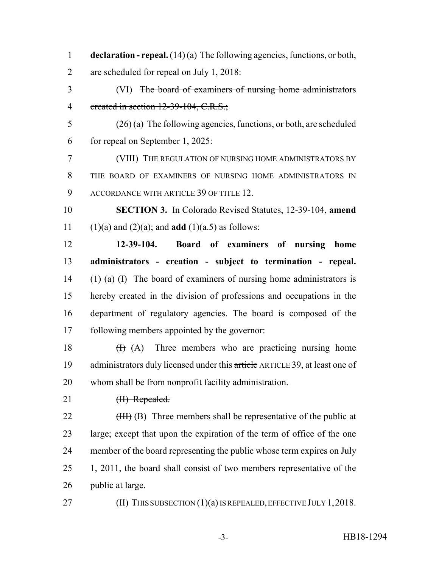**declaration - repeal.** (14) (a) The following agencies, functions, or both, are scheduled for repeal on July 1, 2018: (VI) The board of examiners of nursing home administrators 4 created in section 12-39-104, C.R.S.; (26) (a) The following agencies, functions, or both, are scheduled for repeal on September 1, 2025: (VIII) THE REGULATION OF NURSING HOME ADMINISTRATORS BY THE BOARD OF EXAMINERS OF NURSING HOME ADMINISTRATORS IN ACCORDANCE WITH ARTICLE 39 OF TITLE 12. **SECTION 3.** In Colorado Revised Statutes, 12-39-104, **amend** 11 (1)(a) and (2)(a); and **add** (1)(a.5) as follows: **12-39-104. Board of examiners of nursing home administrators - creation - subject to termination - repeal.** (1) (a) (I) The board of examiners of nursing home administrators is hereby created in the division of professions and occupations in the department of regulatory agencies. The board is composed of the following members appointed by the governor:  $(H)$  (A) Three members who are practicing nursing home 19 administrators duly licensed under this article ARTICLE 39, at least one of whom shall be from nonprofit facility administration. 21 <del>(II) Repealed.</del>  $(HH)(B)$  Three members shall be representative of the public at large; except that upon the expiration of the term of office of the one member of the board representing the public whose term expires on July 25 1, 2011, the board shall consist of two members representative of the public at large. (II) THIS SUBSECTION (1)(a) IS REPEALED, EFFECTIVE JULY 1,2018.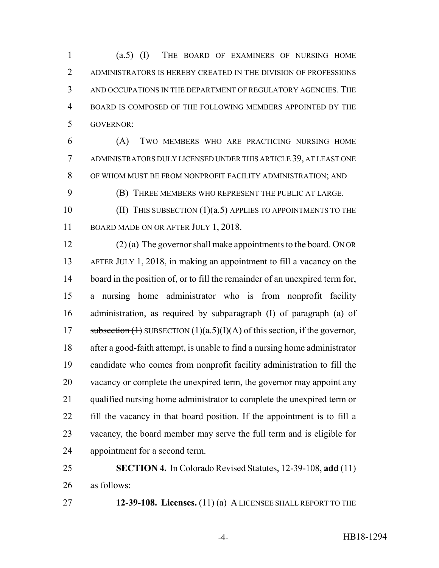(a.5) (I) THE BOARD OF EXAMINERS OF NURSING HOME ADMINISTRATORS IS HEREBY CREATED IN THE DIVISION OF PROFESSIONS AND OCCUPATIONS IN THE DEPARTMENT OF REGULATORY AGENCIES. THE BOARD IS COMPOSED OF THE FOLLOWING MEMBERS APPOINTED BY THE GOVERNOR:

 (A) TWO MEMBERS WHO ARE PRACTICING NURSING HOME ADMINISTRATORS DULY LICENSED UNDER THIS ARTICLE 39, AT LEAST ONE OF WHOM MUST BE FROM NONPROFIT FACILITY ADMINISTRATION; AND

(B) THREE MEMBERS WHO REPRESENT THE PUBLIC AT LARGE.

10 (II) THIS SUBSECTION (1)(a.5) APPLIES TO APPOINTMENTS TO THE 11 BOARD MADE ON OR AFTER JULY 1, 2018.

 (2) (a) The governor shall make appointments to the board. ON OR AFTER JULY 1, 2018, in making an appointment to fill a vacancy on the board in the position of, or to fill the remainder of an unexpired term for, a nursing home administrator who is from nonprofit facility 16 administration, as required by subparagraph  $(I)$  of paragraph  $(a)$  of 17 subsection  $(1)$  SUBSECTION  $(1)(a.5)(I)(A)$  of this section, if the governor, after a good-faith attempt, is unable to find a nursing home administrator candidate who comes from nonprofit facility administration to fill the vacancy or complete the unexpired term, the governor may appoint any 21 qualified nursing home administrator to complete the unexpired term or fill the vacancy in that board position. If the appointment is to fill a vacancy, the board member may serve the full term and is eligible for appointment for a second term.

 **SECTION 4.** In Colorado Revised Statutes, 12-39-108, **add** (11) as follows:

**12-39-108. Licenses.** (11) (a) A LICENSEE SHALL REPORT TO THE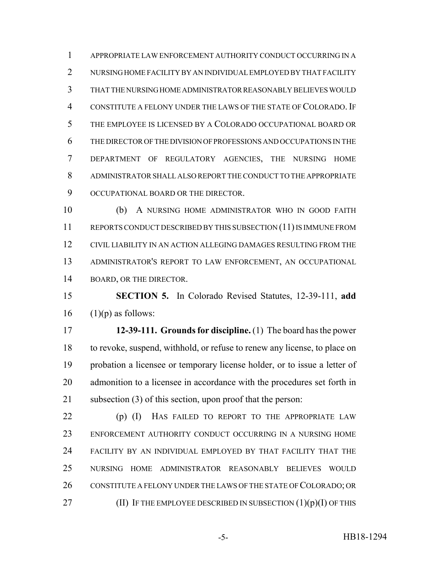APPROPRIATE LAW ENFORCEMENT AUTHORITY CONDUCT OCCURRING IN A 2 NURSING HOME FACILITY BY AN INDIVIDUAL EMPLOYED BY THAT FACILITY THAT THE NURSING HOME ADMINISTRATOR REASONABLY BELIEVES WOULD CONSTITUTE A FELONY UNDER THE LAWS OF THE STATE OF COLORADO. IF THE EMPLOYEE IS LICENSED BY A COLORADO OCCUPATIONAL BOARD OR THE DIRECTOR OF THE DIVISION OF PROFESSIONS AND OCCUPATIONS IN THE DEPARTMENT OF REGULATORY AGENCIES, THE NURSING HOME ADMINISTRATOR SHALL ALSO REPORT THE CONDUCT TO THE APPROPRIATE 9 OCCUPATIONAL BOARD OR THE DIRECTOR.

 (b) A NURSING HOME ADMINISTRATOR WHO IN GOOD FAITH REPORTS CONDUCT DESCRIBED BY THIS SUBSECTION (11) IS IMMUNE FROM CIVIL LIABILITY IN AN ACTION ALLEGING DAMAGES RESULTING FROM THE ADMINISTRATOR'S REPORT TO LAW ENFORCEMENT, AN OCCUPATIONAL BOARD, OR THE DIRECTOR.

 **SECTION 5.** In Colorado Revised Statutes, 12-39-111, **add** (1)(p) as follows:

 **12-39-111. Grounds for discipline.** (1) The board has the power to revoke, suspend, withhold, or refuse to renew any license, to place on probation a licensee or temporary license holder, or to issue a letter of admonition to a licensee in accordance with the procedures set forth in subsection (3) of this section, upon proof that the person:

 (p) (I) HAS FAILED TO REPORT TO THE APPROPRIATE LAW ENFORCEMENT AUTHORITY CONDUCT OCCURRING IN A NURSING HOME FACILITY BY AN INDIVIDUAL EMPLOYED BY THAT FACILITY THAT THE NURSING HOME ADMINISTRATOR REASONABLY BELIEVES WOULD CONSTITUTE A FELONY UNDER THE LAWS OF THE STATE OF COLORADO; OR 27 (II) IF THE EMPLOYEE DESCRIBED IN SUBSECTION  $(1)(p)(I)$  OF THIS